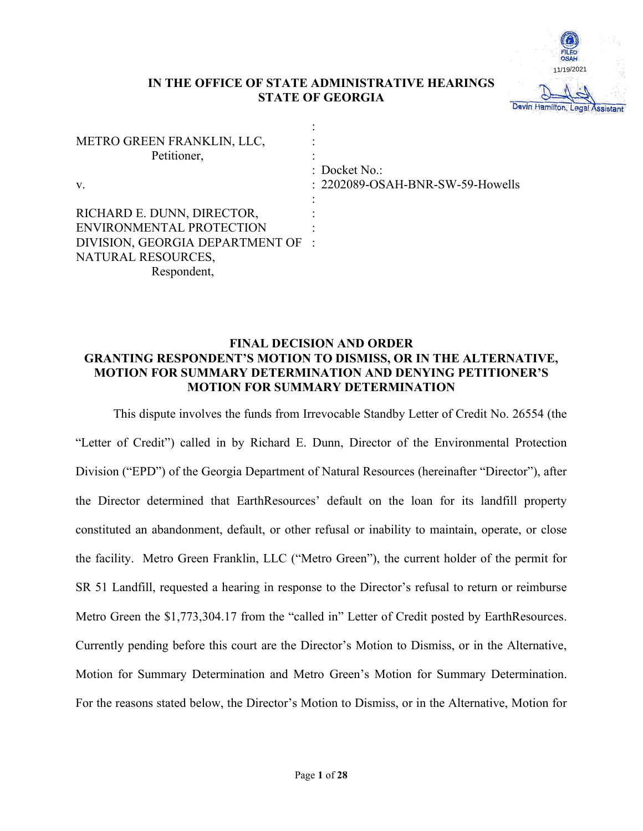

# **IN THE OFFICE OF STATE ADMINISTRATIVE HEARINGS STATE OF GEORGIA**

| METRO GREEN FRANKLIN, LLC,<br>Petitioner, |                                                     |
|-------------------------------------------|-----------------------------------------------------|
| V.                                        | $:$ Docket No.:<br>: 2202089-OSAH-BNR-SW-59-Howells |
| RICHARD E. DUNN, DIRECTOR,                |                                                     |
| ENVIRONMENTAL PROTECTION                  |                                                     |
| DIVISION, GEORGIA DEPARTMENT OF :         |                                                     |
| NATURAL RESOURCES,                        |                                                     |
| Respondent,                               |                                                     |

# **FINAL DECISION AND ORDER GRANTING RESPONDENT'S MOTION TO DISMISS, OR IN THE ALTERNATIVE, MOTION FOR SUMMARY DETERMINATION AND DENYING PETITIONER'S MOTION FOR SUMMARY DETERMINATION**

This dispute involves the funds from Irrevocable Standby Letter of Credit No. 26554 (the "Letter of Credit") called in by Richard E. Dunn, Director of the Environmental Protection Division ("EPD") of the Georgia Department of Natural Resources (hereinafter "Director"), after the Director determined that EarthResources' default on the loan for its landfill property constituted an abandonment, default, or other refusal or inability to maintain, operate, or close the facility. Metro Green Franklin, LLC ("Metro Green"), the current holder of the permit for SR 51 Landfill, requested a hearing in response to the Director's refusal to return or reimburse Metro Green the \$1,773,304.17 from the "called in" Letter of Credit posted by EarthResources. Currently pending before this court are the Director's Motion to Dismiss, or in the Alternative, Motion for Summary Determination and Metro Green's Motion for Summary Determination. For the reasons stated below, the Director's Motion to Dismiss, or in the Alternative, Motion for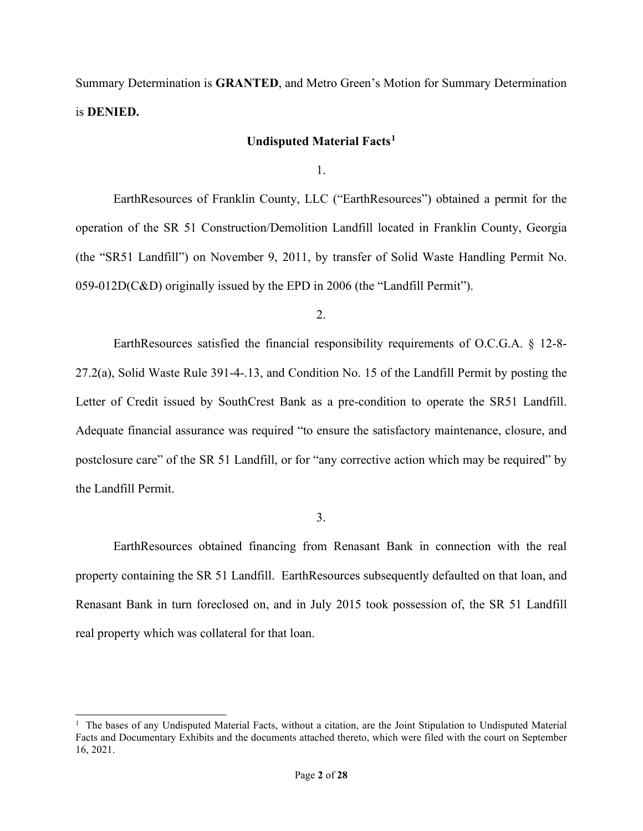Summary Determination is **GRANTED**, and Metro Green's Motion for Summary Determination is **DENIED.** 

# **Undisputed Material Facts1**

1.

EarthResources of Franklin County, LLC ("EarthResources") obtained a permit for the operation of the SR 51 Construction/Demolition Landfill located in Franklin County, Georgia (the "SR51 Landfill") on November 9, 2011, by transfer of Solid Waste Handling Permit No. 059-012D(C&D) originally issued by the EPD in 2006 (the "Landfill Permit").

2.

EarthResources satisfied the financial responsibility requirements of O.C.G.A. § 12-8- 27.2(a), Solid Waste Rule 391-4-.13, and Condition No. 15 of the Landfill Permit by posting the Letter of Credit issued by SouthCrest Bank as a pre-condition to operate the SR51 Landfill. Adequate financial assurance was required "to ensure the satisfactory maintenance, closure, and postclosure care" of the SR 51 Landfill, or for "any corrective action which may be required" by the Landfill Permit.

3.

EarthResources obtained financing from Renasant Bank in connection with the real property containing the SR 51 Landfill. EarthResources subsequently defaulted on that loan, and Renasant Bank in turn foreclosed on, and in July 2015 took possession of, the SR 51 Landfill real property which was collateral for that loan.

<sup>&</sup>lt;sup>1</sup> The bases of any Undisputed Material Facts, without a citation, are the Joint Stipulation to Undisputed Material Facts and Documentary Exhibits and the documents attached thereto, which were filed with the court on September 16, 2021.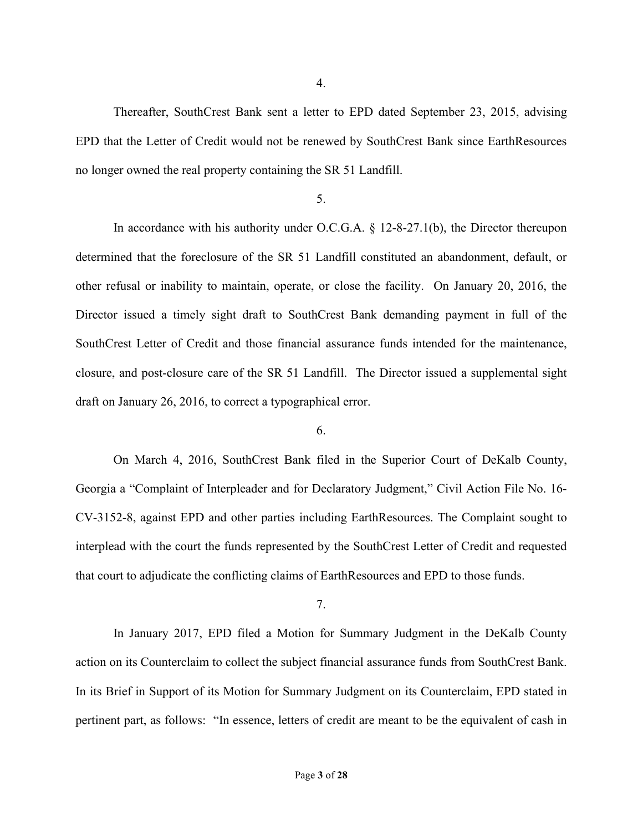Thereafter, SouthCrest Bank sent a letter to EPD dated September 23, 2015, advising EPD that the Letter of Credit would not be renewed by SouthCrest Bank since EarthResources no longer owned the real property containing the SR 51 Landfill.

# 5.

In accordance with his authority under O.C.G.A.  $\S$  12-8-27.1(b), the Director thereupon determined that the foreclosure of the SR 51 Landfill constituted an abandonment, default, or other refusal or inability to maintain, operate, or close the facility. On January 20, 2016, the Director issued a timely sight draft to SouthCrest Bank demanding payment in full of the SouthCrest Letter of Credit and those financial assurance funds intended for the maintenance, closure, and post-closure care of the SR 51 Landfill. The Director issued a supplemental sight draft on January 26, 2016, to correct a typographical error.

# 6.

On March 4, 2016, SouthCrest Bank filed in the Superior Court of DeKalb County, Georgia a "Complaint of Interpleader and for Declaratory Judgment," Civil Action File No. 16- CV-3152-8, against EPD and other parties including EarthResources. The Complaint sought to interplead with the court the funds represented by the SouthCrest Letter of Credit and requested that court to adjudicate the conflicting claims of EarthResources and EPD to those funds.

7.

In January 2017, EPD filed a Motion for Summary Judgment in the DeKalb County action on its Counterclaim to collect the subject financial assurance funds from SouthCrest Bank. In its Brief in Support of its Motion for Summary Judgment on its Counterclaim, EPD stated in pertinent part, as follows: "In essence, letters of credit are meant to be the equivalent of cash in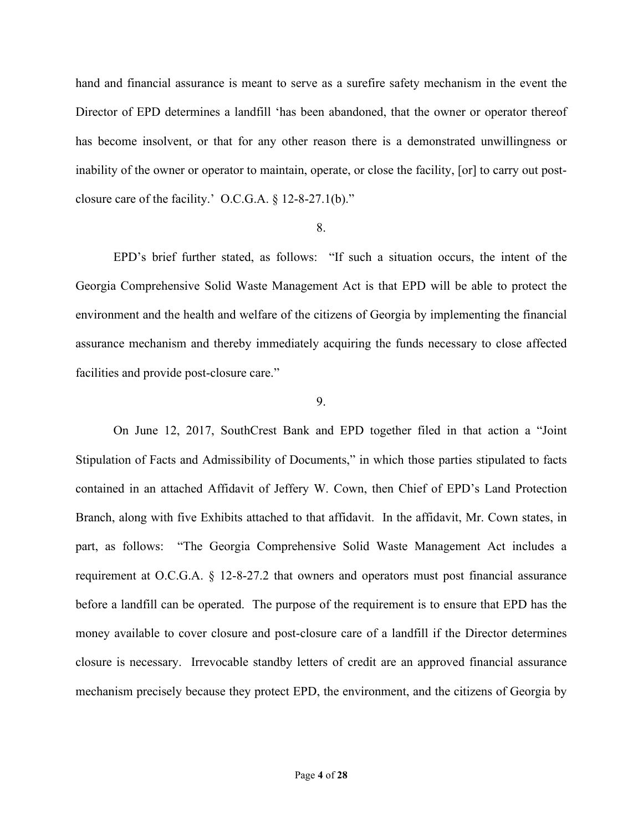hand and financial assurance is meant to serve as a surefire safety mechanism in the event the Director of EPD determines a landfill 'has been abandoned, that the owner or operator thereof has become insolvent, or that for any other reason there is a demonstrated unwillingness or inability of the owner or operator to maintain, operate, or close the facility, [or] to carry out postclosure care of the facility.' O.C.G.A. § 12-8-27.1(b)."

### 8.

EPD's brief further stated, as follows: "If such a situation occurs, the intent of the Georgia Comprehensive Solid Waste Management Act is that EPD will be able to protect the environment and the health and welfare of the citizens of Georgia by implementing the financial assurance mechanism and thereby immediately acquiring the funds necessary to close affected facilities and provide post-closure care."

## 9.

On June 12, 2017, SouthCrest Bank and EPD together filed in that action a "Joint Stipulation of Facts and Admissibility of Documents," in which those parties stipulated to facts contained in an attached Affidavit of Jeffery W. Cown, then Chief of EPD's Land Protection Branch, along with five Exhibits attached to that affidavit. In the affidavit, Mr. Cown states, in part, as follows: "The Georgia Comprehensive Solid Waste Management Act includes a requirement at O.C.G.A. § 12-8-27.2 that owners and operators must post financial assurance before a landfill can be operated. The purpose of the requirement is to ensure that EPD has the money available to cover closure and post-closure care of a landfill if the Director determines closure is necessary. Irrevocable standby letters of credit are an approved financial assurance mechanism precisely because they protect EPD, the environment, and the citizens of Georgia by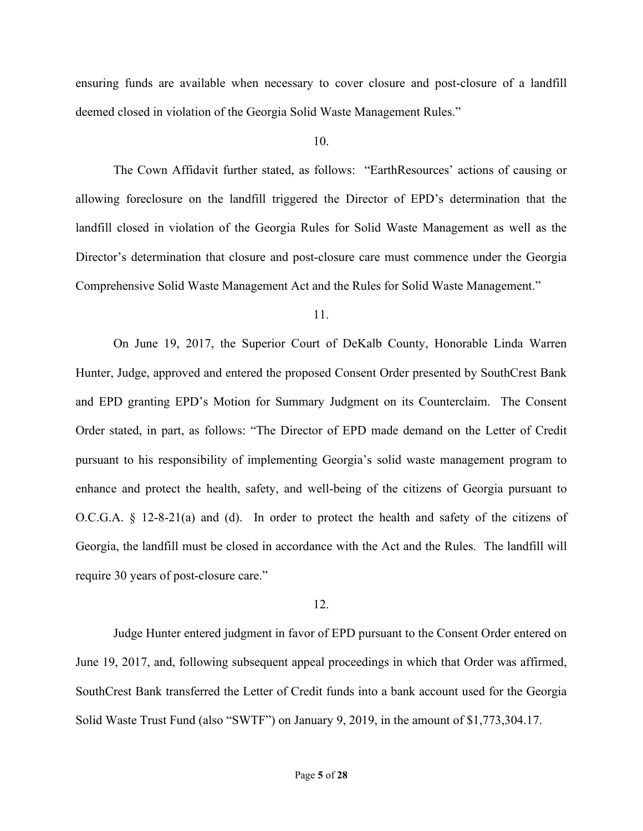ensuring funds are available when necessary to cover closure and post-closure of a landfill deemed closed in violation of the Georgia Solid Waste Management Rules."

### 10.

The Cown Affidavit further stated, as follows: "EarthResources' actions of causing or allowing foreclosure on the landfill triggered the Director of EPD's determination that the landfill closed in violation of the Georgia Rules for Solid Waste Management as well as the Director's determination that closure and post-closure care must commence under the Georgia Comprehensive Solid Waste Management Act and the Rules for Solid Waste Management."

## 11.

On June 19, 2017, the Superior Court of DeKalb County, Honorable Linda Warren Hunter, Judge, approved and entered the proposed Consent Order presented by SouthCrest Bank and EPD granting EPD's Motion for Summary Judgment on its Counterclaim. The Consent Order stated, in part, as follows: "The Director of EPD made demand on the Letter of Credit pursuant to his responsibility of implementing Georgia's solid waste management program to enhance and protect the health, safety, and well-being of the citizens of Georgia pursuant to O.C.G.A. § 12-8-21(a) and (d). In order to protect the health and safety of the citizens of Georgia, the landfill must be closed in accordance with the Act and the Rules. The landfill will require 30 years of post-closure care."

### 12.

Judge Hunter entered judgment in favor of EPD pursuant to the Consent Order entered on June 19, 2017, and, following subsequent appeal proceedings in which that Order was affirmed, SouthCrest Bank transferred the Letter of Credit funds into a bank account used for the Georgia Solid Waste Trust Fund (also "SWTF") on January 9, 2019, in the amount of \$1,773,304.17.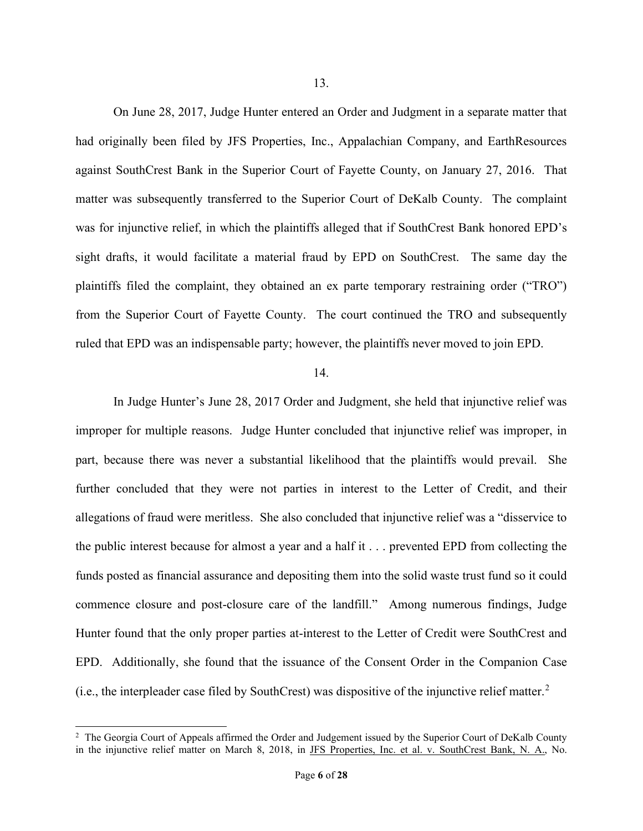On June 28, 2017, Judge Hunter entered an Order and Judgment in a separate matter that had originally been filed by JFS Properties, Inc., Appalachian Company, and EarthResources against SouthCrest Bank in the Superior Court of Fayette County, on January 27, 2016. That matter was subsequently transferred to the Superior Court of DeKalb County. The complaint was for injunctive relief, in which the plaintiffs alleged that if SouthCrest Bank honored EPD's sight drafts, it would facilitate a material fraud by EPD on SouthCrest. The same day the plaintiffs filed the complaint, they obtained an ex parte temporary restraining order ("TRO") from the Superior Court of Fayette County. The court continued the TRO and subsequently ruled that EPD was an indispensable party; however, the plaintiffs never moved to join EPD.

## 14.

In Judge Hunter's June 28, 2017 Order and Judgment, she held that injunctive relief was improper for multiple reasons. Judge Hunter concluded that injunctive relief was improper, in part, because there was never a substantial likelihood that the plaintiffs would prevail. She further concluded that they were not parties in interest to the Letter of Credit, and their allegations of fraud were meritless. She also concluded that injunctive relief was a "disservice to the public interest because for almost a year and a half it . . . prevented EPD from collecting the funds posted as financial assurance and depositing them into the solid waste trust fund so it could commence closure and post-closure care of the landfill." Among numerous findings, Judge Hunter found that the only proper parties at-interest to the Letter of Credit were SouthCrest and EPD. Additionally, she found that the issuance of the Consent Order in the Companion Case (i.e., the interpleader case filed by SouthCrest) was dispositive of the injunctive relief matter.<sup>2</sup>

<sup>&</sup>lt;sup>2</sup> The Georgia Court of Appeals affirmed the Order and Judgement issued by the Superior Court of DeKalb County in the injunctive relief matter on March 8, 2018, in JFS Properties, Inc. et al. v. SouthCrest Bank, N. A., No.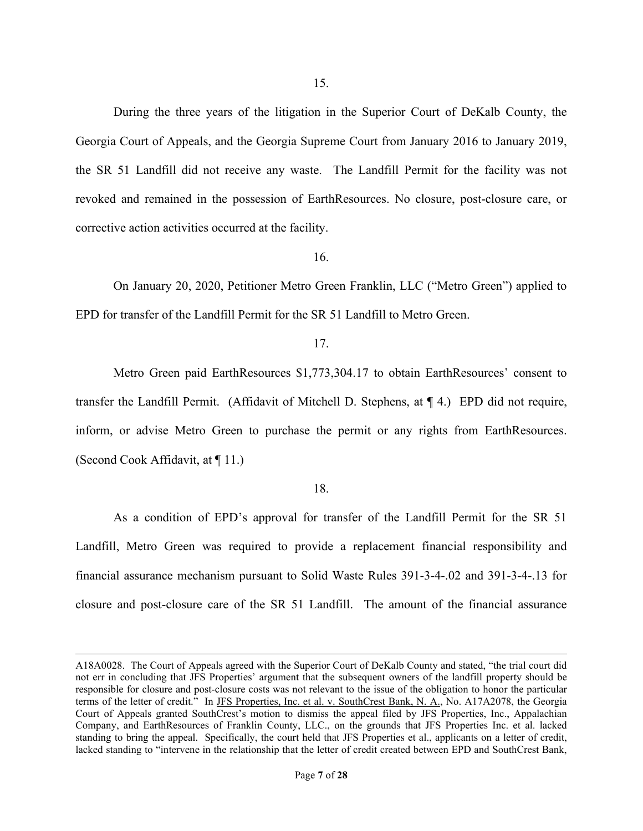During the three years of the litigation in the Superior Court of DeKalb County, the Georgia Court of Appeals, and the Georgia Supreme Court from January 2016 to January 2019, the SR 51 Landfill did not receive any waste. The Landfill Permit for the facility was not revoked and remained in the possession of EarthResources. No closure, post-closure care, or corrective action activities occurred at the facility.

16.

On January 20, 2020, Petitioner Metro Green Franklin, LLC ("Metro Green") applied to EPD for transfer of the Landfill Permit for the SR 51 Landfill to Metro Green.

### 17.

Metro Green paid EarthResources \$1,773,304.17 to obtain EarthResources' consent to transfer the Landfill Permit. (Affidavit of Mitchell D. Stephens, at ¶ 4.) EPD did not require, inform, or advise Metro Green to purchase the permit or any rights from EarthResources. (Second Cook Affidavit, at ¶ 11.)

#### 18.

As a condition of EPD's approval for transfer of the Landfill Permit for the SR 51 Landfill, Metro Green was required to provide a replacement financial responsibility and financial assurance mechanism pursuant to Solid Waste Rules 391-3-4-.02 and 391-3-4-.13 for closure and post-closure care of the SR 51 Landfill. The amount of the financial assurance

A18A0028. The Court of Appeals agreed with the Superior Court of DeKalb County and stated, "the trial court did not err in concluding that JFS Properties' argument that the subsequent owners of the landfill property should be responsible for closure and post-closure costs was not relevant to the issue of the obligation to honor the particular terms of the letter of credit." In JFS Properties, Inc. et al. v. SouthCrest Bank, N. A., No. A17A2078, the Georgia Court of Appeals granted SouthCrest's motion to dismiss the appeal filed by JFS Properties, Inc., Appalachian Company, and EarthResources of Franklin County, LLC., on the grounds that JFS Properties Inc. et al. lacked standing to bring the appeal. Specifically, the court held that JFS Properties et al., applicants on a letter of credit, lacked standing to "intervene in the relationship that the letter of credit created between EPD and SouthCrest Bank,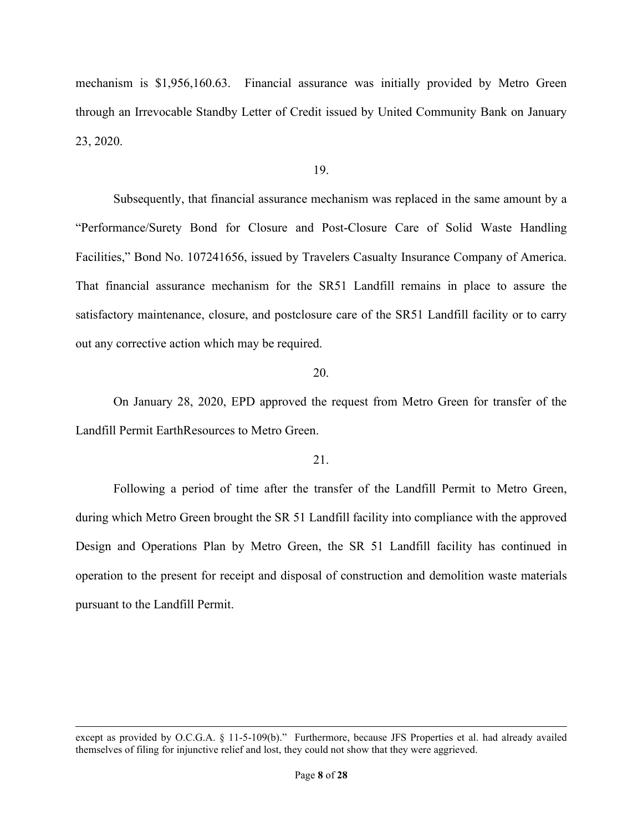mechanism is \$1,956,160.63. Financial assurance was initially provided by Metro Green through an Irrevocable Standby Letter of Credit issued by United Community Bank on January 23, 2020.

### 19.

Subsequently, that financial assurance mechanism was replaced in the same amount by a "Performance/Surety Bond for Closure and Post-Closure Care of Solid Waste Handling Facilities," Bond No. 107241656, issued by Travelers Casualty Insurance Company of America. That financial assurance mechanism for the SR51 Landfill remains in place to assure the satisfactory maintenance, closure, and postclosure care of the SR51 Landfill facility or to carry out any corrective action which may be required.

### 20.

On January 28, 2020, EPD approved the request from Metro Green for transfer of the Landfill Permit EarthResources to Metro Green.

# 21.

Following a period of time after the transfer of the Landfill Permit to Metro Green, during which Metro Green brought the SR 51 Landfill facility into compliance with the approved Design and Operations Plan by Metro Green, the SR 51 Landfill facility has continued in operation to the present for receipt and disposal of construction and demolition waste materials pursuant to the Landfill Permit.

except as provided by O.C.G.A. § 11-5-109(b)." Furthermore, because JFS Properties et al. had already availed themselves of filing for injunctive relief and lost, they could not show that they were aggrieved.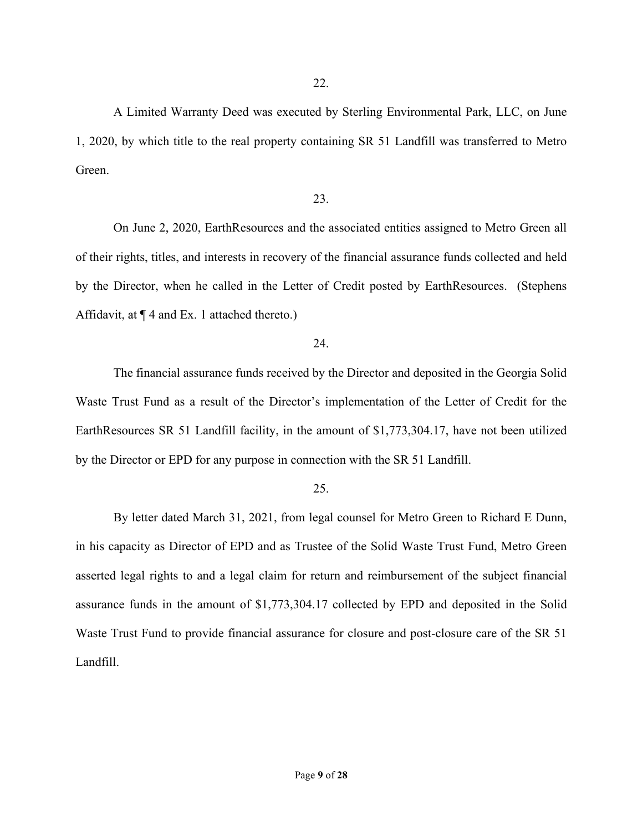A Limited Warranty Deed was executed by Sterling Environmental Park, LLC, on June 1, 2020, by which title to the real property containing SR 51 Landfill was transferred to Metro Green.

## 23.

On June 2, 2020, EarthResources and the associated entities assigned to Metro Green all of their rights, titles, and interests in recovery of the financial assurance funds collected and held by the Director, when he called in the Letter of Credit posted by EarthResources. (Stephens Affidavit, at  $\P$  4 and Ex. 1 attached thereto.)

### 24.

The financial assurance funds received by the Director and deposited in the Georgia Solid Waste Trust Fund as a result of the Director's implementation of the Letter of Credit for the EarthResources SR 51 Landfill facility, in the amount of \$1,773,304.17, have not been utilized by the Director or EPD for any purpose in connection with the SR 51 Landfill.

### 25.

By letter dated March 31, 2021, from legal counsel for Metro Green to Richard E Dunn, in his capacity as Director of EPD and as Trustee of the Solid Waste Trust Fund, Metro Green asserted legal rights to and a legal claim for return and reimbursement of the subject financial assurance funds in the amount of \$1,773,304.17 collected by EPD and deposited in the Solid Waste Trust Fund to provide financial assurance for closure and post-closure care of the SR 51 Landfill.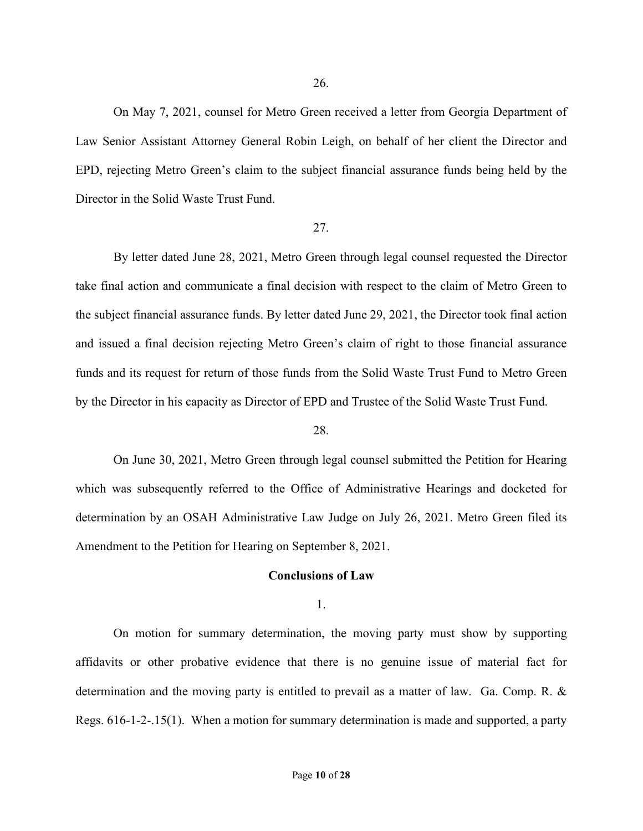On May 7, 2021, counsel for Metro Green received a letter from Georgia Department of Law Senior Assistant Attorney General Robin Leigh, on behalf of her client the Director and EPD, rejecting Metro Green's claim to the subject financial assurance funds being held by the Director in the Solid Waste Trust Fund.

### 27.

By letter dated June 28, 2021, Metro Green through legal counsel requested the Director take final action and communicate a final decision with respect to the claim of Metro Green to the subject financial assurance funds. By letter dated June 29, 2021, the Director took final action and issued a final decision rejecting Metro Green's claim of right to those financial assurance funds and its request for return of those funds from the Solid Waste Trust Fund to Metro Green by the Director in his capacity as Director of EPD and Trustee of the Solid Waste Trust Fund.

### 28.

On June 30, 2021, Metro Green through legal counsel submitted the Petition for Hearing which was subsequently referred to the Office of Administrative Hearings and docketed for determination by an OSAH Administrative Law Judge on July 26, 2021. Metro Green filed its Amendment to the Petition for Hearing on September 8, 2021.

### **Conclusions of Law**

1.

On motion for summary determination, the moving party must show by supporting affidavits or other probative evidence that there is no genuine issue of material fact for determination and the moving party is entitled to prevail as a matter of law. Ga. Comp. R. & Regs. 616-1-2-.15(1). When a motion for summary determination is made and supported, a party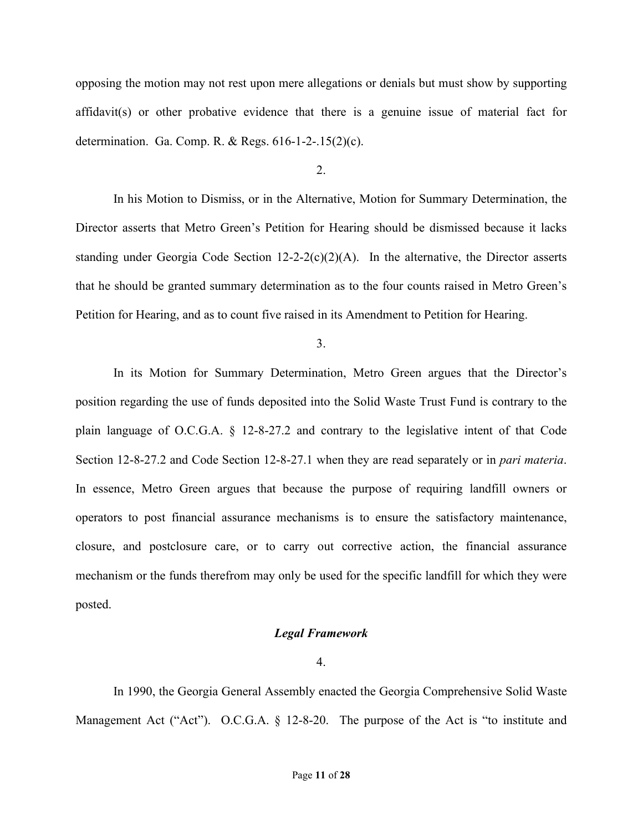opposing the motion may not rest upon mere allegations or denials but must show by supporting affidavit(s) or other probative evidence that there is a genuine issue of material fact for determination. Ga. Comp. R. & Regs. 616-1-2-.15(2)(c).

### $2<sub>1</sub>$

In his Motion to Dismiss, or in the Alternative, Motion for Summary Determination, the Director asserts that Metro Green's Petition for Hearing should be dismissed because it lacks standing under Georgia Code Section  $12{\text -}2{\text -}2(c)(2)(A)$ . In the alternative, the Director asserts that he should be granted summary determination as to the four counts raised in Metro Green's Petition for Hearing, and as to count five raised in its Amendment to Petition for Hearing.

3.

In its Motion for Summary Determination, Metro Green argues that the Director's position regarding the use of funds deposited into the Solid Waste Trust Fund is contrary to the plain language of O.C.G.A. § 12-8-27.2 and contrary to the legislative intent of that Code Section 12-8-27.2 and Code Section 12-8-27.1 when they are read separately or in *pari materia*. In essence, Metro Green argues that because the purpose of requiring landfill owners or operators to post financial assurance mechanisms is to ensure the satisfactory maintenance, closure, and postclosure care, or to carry out corrective action, the financial assurance mechanism or the funds therefrom may only be used for the specific landfill for which they were posted.

### *Legal Framework*

4.

In 1990, the Georgia General Assembly enacted the Georgia Comprehensive Solid Waste Management Act ("Act"). O.C.G.A. § 12-8-20. The purpose of the Act is "to institute and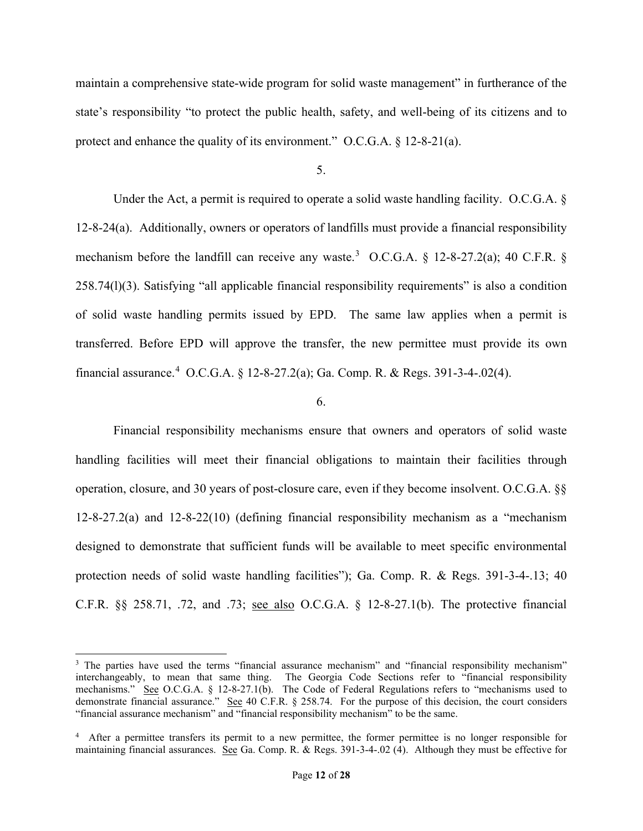maintain a comprehensive state-wide program for solid waste management" in furtherance of the state's responsibility "to protect the public health, safety, and well-being of its citizens and to protect and enhance the quality of its environment." O.C.G.A. § 12-8-21(a).

5.

Under the Act, a permit is required to operate a solid waste handling facility. O.C.G.A. § 12-8-24(a). Additionally, owners or operators of landfills must provide a financial responsibility mechanism before the landfill can receive any waste.<sup>3</sup> O.C.G.A.  $\S$  12-8-27.2(a); 40 C.F.R.  $\S$ 258.74(l)(3). Satisfying "all applicable financial responsibility requirements" is also a condition of solid waste handling permits issued by EPD. The same law applies when a permit is transferred. Before EPD will approve the transfer, the new permittee must provide its own financial assurance.<sup>4</sup> O.C.G.A. § 12-8-27.2(a); Ga. Comp. R. & Regs. 391-3-4-.02(4).

### 6.

Financial responsibility mechanisms ensure that owners and operators of solid waste handling facilities will meet their financial obligations to maintain their facilities through operation, closure, and 30 years of post-closure care, even if they become insolvent. O.C.G.A. §§ 12-8-27.2(a) and 12-8-22(10) (defining financial responsibility mechanism as a "mechanism designed to demonstrate that sufficient funds will be available to meet specific environmental protection needs of solid waste handling facilities"); Ga. Comp. R. & Regs. 391-3-4-.13; 40 C.F.R. §§ 258.71, .72, and .73; see also O.C.G.A. § 12-8-27.1(b). The protective financial

<sup>&</sup>lt;sup>3</sup> The parties have used the terms "financial assurance mechanism" and "financial responsibility mechanism" interchangeably, to mean that same thing. The Georgia Code Sections refer to "financial responsibility mechanisms." See O.C.G.A. § 12-8-27.1(b). The Code of Federal Regulations refers to "mechanisms used to demonstrate financial assurance." See 40 C.F.R.  $\S$  258.74. For the purpose of this decision, the court considers "financial assurance mechanism" and "financial responsibility mechanism" to be the same.

<sup>&</sup>lt;sup>4</sup> After a permittee transfers its permit to a new permittee, the former permittee is no longer responsible for maintaining financial assurances. See Ga. Comp. R. & Regs. 391-3-4-.02 (4). Although they must be effective for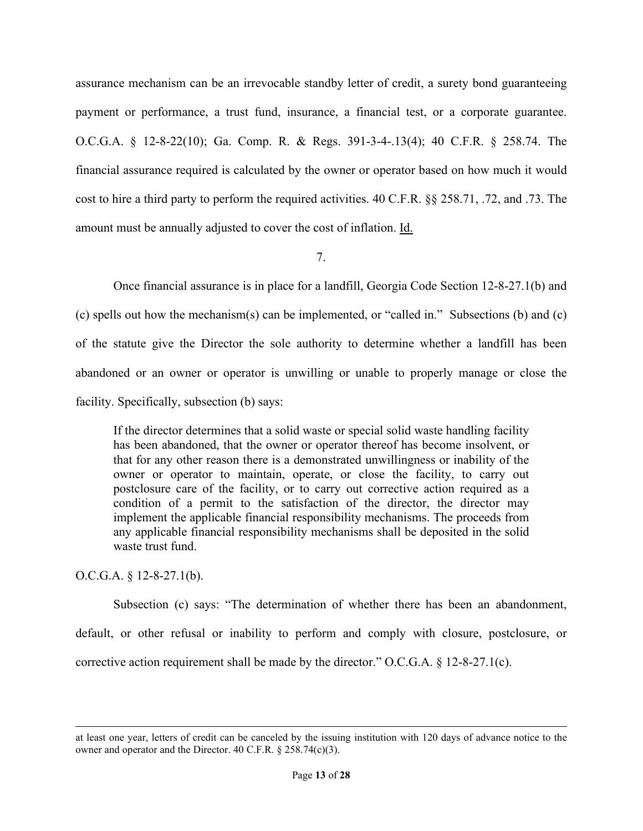assurance mechanism can be an irrevocable standby letter of credit, a surety bond guaranteeing payment or performance, a trust fund, insurance, a financial test, or a corporate guarantee. O.C.G.A. § 12-8-22(10); Ga. Comp. R. & Regs. 391-3-4-.13(4); 40 C.F.R. § 258.74. The financial assurance required is calculated by the owner or operator based on how much it would cost to hire a third party to perform the required activities. 40 C.F.R. §§ 258.71, .72, and .73. The amount must be annually adjusted to cover the cost of inflation. Id.

7.

Once financial assurance is in place for a landfill, Georgia Code Section 12-8-27.1(b) and (c) spells out how the mechanism(s) can be implemented, or "called in." Subsections (b) and (c) of the statute give the Director the sole authority to determine whether a landfill has been abandoned or an owner or operator is unwilling or unable to properly manage or close the facility. Specifically, subsection (b) says:

If the director determines that a solid waste or special solid waste handling facility has been abandoned, that the owner or operator thereof has become insolvent, or that for any other reason there is a demonstrated unwillingness or inability of the owner or operator to maintain, operate, or close the facility, to carry out postclosure care of the facility, or to carry out corrective action required as a condition of a permit to the satisfaction of the director, the director may implement the applicable financial responsibility mechanisms. The proceeds from any applicable financial responsibility mechanisms shall be deposited in the solid waste trust fund.

O.C.G.A. § 12-8-27.1(b).

Subsection (c) says: "The determination of whether there has been an abandonment, default, or other refusal or inability to perform and comply with closure, postclosure, or corrective action requirement shall be made by the director." O.C.G.A.  $\S$  12-8-27.1(c).

at least one year, letters of credit can be canceled by the issuing institution with 120 days of advance notice to the owner and operator and the Director. 40 C.F.R. § 258.74(c)(3).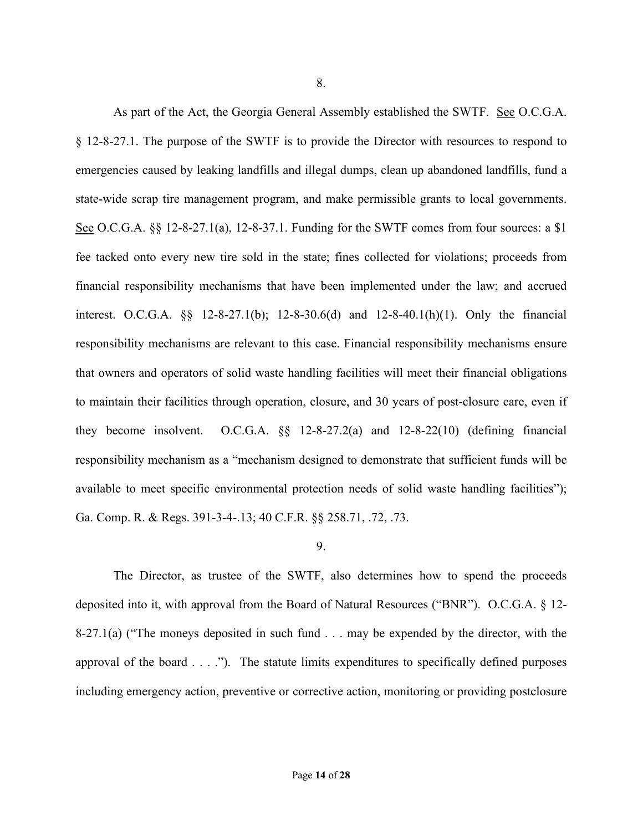As part of the Act, the Georgia General Assembly established the SWTF. See O.C.G.A. § 12-8-27.1. The purpose of the SWTF is to provide the Director with resources to respond to emergencies caused by leaking landfills and illegal dumps, clean up abandoned landfills, fund a state-wide scrap tire management program, and make permissible grants to local governments. See O.C.G.A. §§ 12-8-27.1(a), 12-8-37.1. Funding for the SWTF comes from four sources: a \$1 fee tacked onto every new tire sold in the state; fines collected for violations; proceeds from financial responsibility mechanisms that have been implemented under the law; and accrued interest. O.C.G.A. §§ 12-8-27.1(b); 12-8-30.6(d) and 12-8-40.1(h)(1). Only the financial responsibility mechanisms are relevant to this case. Financial responsibility mechanisms ensure that owners and operators of solid waste handling facilities will meet their financial obligations to maintain their facilities through operation, closure, and 30 years of post-closure care, even if they become insolvent. O.C.G.A. §§ 12-8-27.2(a) and 12-8-22(10) (defining financial responsibility mechanism as a "mechanism designed to demonstrate that sufficient funds will be available to meet specific environmental protection needs of solid waste handling facilities"); Ga. Comp. R. & Regs. 391-3-4-.13; 40 C.F.R. §§ 258.71, .72, .73.

## 9.

The Director, as trustee of the SWTF, also determines how to spend the proceeds deposited into it, with approval from the Board of Natural Resources ("BNR"). O.C.G.A. § 12- 8-27.1(a) ("The moneys deposited in such fund  $\ldots$  may be expended by the director, with the approval of the board  $\dots$ ."). The statute limits expenditures to specifically defined purposes including emergency action, preventive or corrective action, monitoring or providing postclosure

8.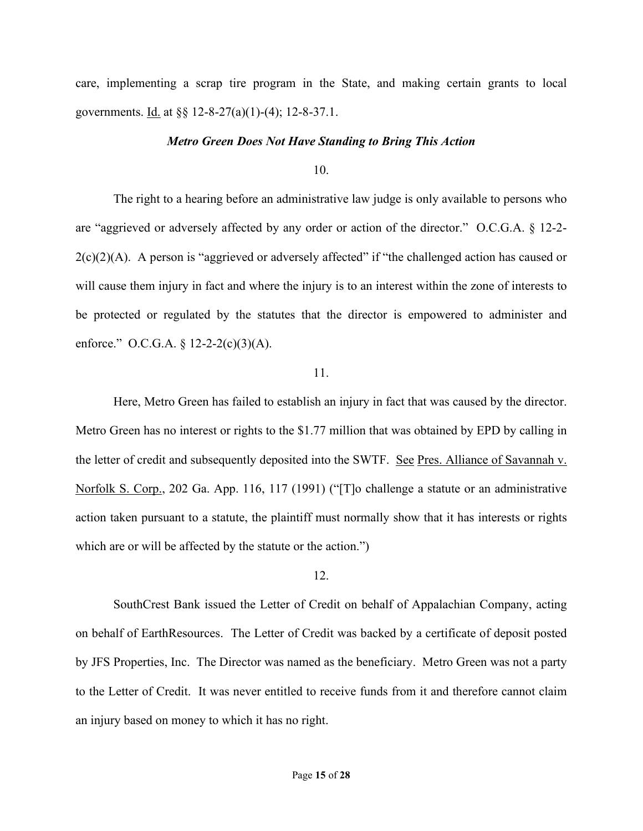care, implementing a scrap tire program in the State, and making certain grants to local governments. Id. at §§ 12-8-27(a)(1)-(4); 12-8-37.1.

### *Metro Green Does Not Have Standing to Bring This Action*

10.

The right to a hearing before an administrative law judge is only available to persons who are "aggrieved or adversely affected by any order or action of the director." O.C.G.A. § 12-2-  $2(c)(2)(A)$ . A person is "aggrieved or adversely affected" if "the challenged action has caused or will cause them injury in fact and where the injury is to an interest within the zone of interests to be protected or regulated by the statutes that the director is empowered to administer and enforce." O.C.G.A.  $\S 12-2-(c)(3)(A)$ .

### 11.

Here, Metro Green has failed to establish an injury in fact that was caused by the director. Metro Green has no interest or rights to the \$1.77 million that was obtained by EPD by calling in the letter of credit and subsequently deposited into the SWTF. See Pres. Alliance of Savannah v. Norfolk S. Corp., 202 Ga. App. 116, 117 (1991) ("[T]o challenge a statute or an administrative action taken pursuant to a statute, the plaintiff must normally show that it has interests or rights which are or will be affected by the statute or the action.")

### 12.

SouthCrest Bank issued the Letter of Credit on behalf of Appalachian Company, acting on behalf of EarthResources. The Letter of Credit was backed by a certificate of deposit posted by JFS Properties, Inc. The Director was named as the beneficiary. Metro Green was not a party to the Letter of Credit. It was never entitled to receive funds from it and therefore cannot claim an injury based on money to which it has no right.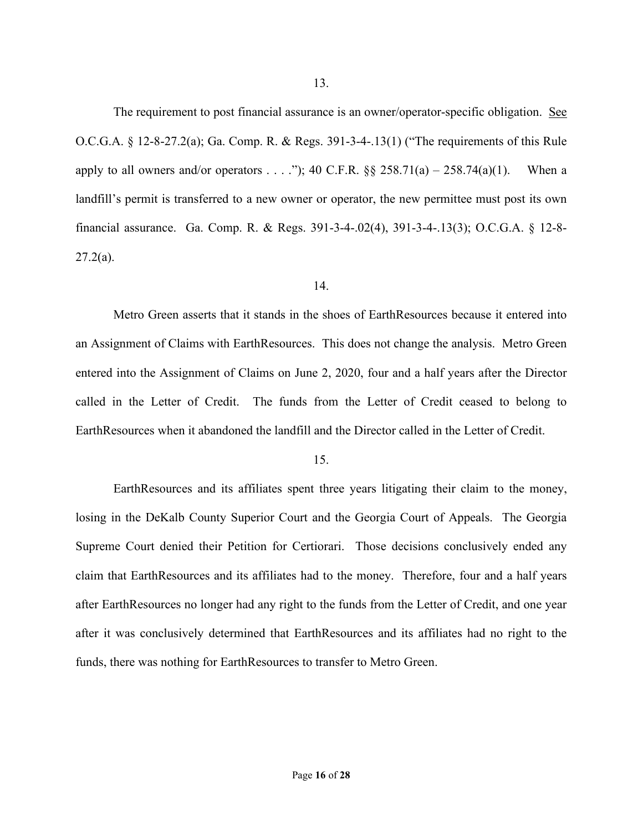The requirement to post financial assurance is an owner/operator-specific obligation. See O.C.G.A. § 12-8-27.2(a); Ga. Comp. R. & Regs. 391-3-4-.13(1) ("The requirements of this Rule apply to all owners and/or operators . . . ."); 40 C.F.R.  $\S$  258.71(a) – 258.74(a)(1). When a landfill's permit is transferred to a new owner or operator, the new permittee must post its own financial assurance. Ga. Comp. R. & Regs. 391-3-4-.02(4), 391-3-4-.13(3); O.C.G.A. § 12-8-  $27.2(a)$ .

#### 14.

Metro Green asserts that it stands in the shoes of EarthResources because it entered into an Assignment of Claims with EarthResources. This does not change the analysis. Metro Green entered into the Assignment of Claims on June 2, 2020, four and a half years after the Director called in the Letter of Credit. The funds from the Letter of Credit ceased to belong to EarthResources when it abandoned the landfill and the Director called in the Letter of Credit.

### 15.

EarthResources and its affiliates spent three years litigating their claim to the money, losing in the DeKalb County Superior Court and the Georgia Court of Appeals. The Georgia Supreme Court denied their Petition for Certiorari. Those decisions conclusively ended any claim that EarthResources and its affiliates had to the money. Therefore, four and a half years after EarthResources no longer had any right to the funds from the Letter of Credit, and one year after it was conclusively determined that EarthResources and its affiliates had no right to the funds, there was nothing for EarthResources to transfer to Metro Green.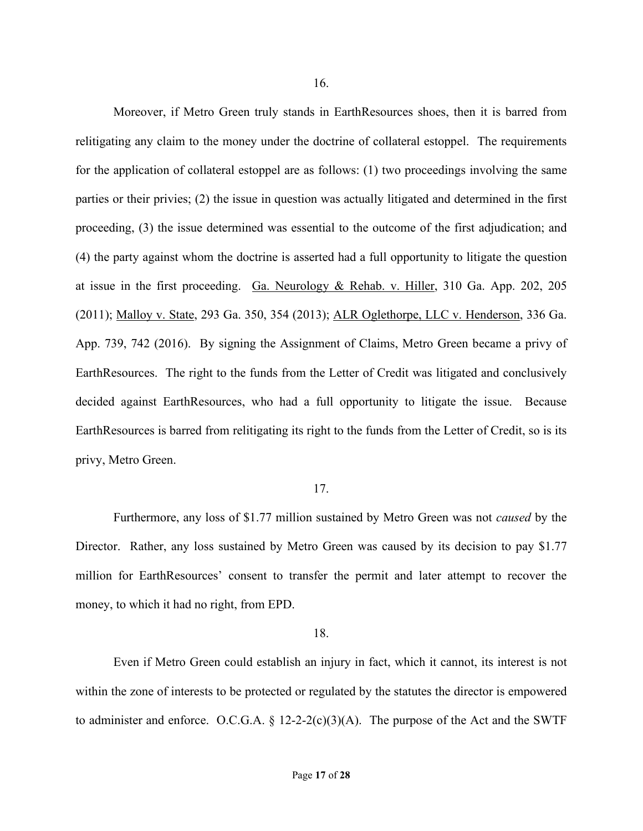Moreover, if Metro Green truly stands in EarthResources shoes, then it is barred from relitigating any claim to the money under the doctrine of collateral estoppel. The requirements for the application of collateral estoppel are as follows: (1) two proceedings involving the same parties or their privies; (2) the issue in question was actually litigated and determined in the first proceeding, (3) the issue determined was essential to the outcome of the first adjudication; and (4) the party against whom the doctrine is asserted had a full opportunity to litigate the question at issue in the first proceeding. Ga. Neurology & Rehab. v. Hiller, 310 Ga. App. 202, 205 (2011); Malloy v. State, 293 Ga. 350, 354 (2013); ALR Oglethorpe, LLC v. Henderson, 336 Ga. App. 739, 742 (2016). By signing the Assignment of Claims, Metro Green became a privy of EarthResources. The right to the funds from the Letter of Credit was litigated and conclusively decided against EarthResources, who had a full opportunity to litigate the issue. Because EarthResources is barred from relitigating its right to the funds from the Letter of Credit, so is its privy, Metro Green.

## 17.

Furthermore, any loss of \$1.77 million sustained by Metro Green was not *caused* by the Director. Rather, any loss sustained by Metro Green was caused by its decision to pay \$1.77 million for EarthResources' consent to transfer the permit and later attempt to recover the money, to which it had no right, from EPD.

### 18.

Even if Metro Green could establish an injury in fact, which it cannot, its interest is not within the zone of interests to be protected or regulated by the statutes the director is empowered to administer and enforce. O.C.G.A.  $\S$  12-2-2(c)(3)(A). The purpose of the Act and the SWTF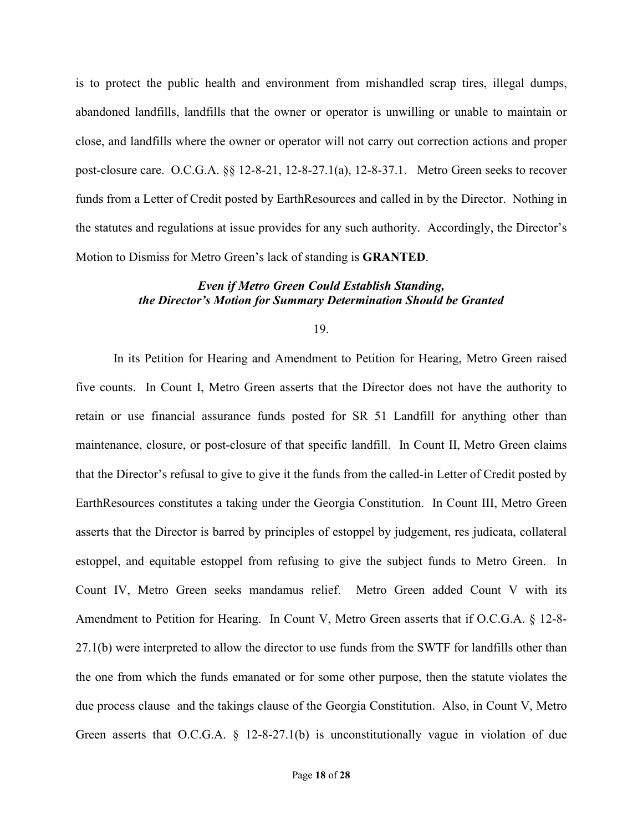is to protect the public health and environment from mishandled scrap tires, illegal dumps, abandoned landfills, landfills that the owner or operator is unwilling or unable to maintain or close, and landfills where the owner or operator will not carry out correction actions and proper post-closure care. O.C.G.A. §§ 12-8-21, 12-8-27.1(a), 12-8-37.1. Metro Green seeks to recover funds from a Letter of Credit posted by EarthResources and called in by the Director. Nothing in the statutes and regulations at issue provides for any such authority. Accordingly, the Director's Motion to Dismiss for Metro Green's lack of standing is **GRANTED**.

# *Even if Metro Green Could Establish Standing, the Director's Motion for Summary Determination Should be Granted*

19.

In its Petition for Hearing and Amendment to Petition for Hearing, Metro Green raised five counts. In Count I, Metro Green asserts that the Director does not have the authority to retain or use financial assurance funds posted for SR 51 Landfill for anything other than maintenance, closure, or post-closure of that specific landfill. In Count II, Metro Green claims that the Director's refusal to give to give it the funds from the called-in Letter of Credit posted by EarthResources constitutes a taking under the Georgia Constitution. In Count III, Metro Green asserts that the Director is barred by principles of estoppel by judgement, res judicata, collateral estoppel, and equitable estoppel from refusing to give the subject funds to Metro Green. In Count IV, Metro Green seeks mandamus relief. Metro Green added Count V with its Amendment to Petition for Hearing. In Count V, Metro Green asserts that if O.C.G.A. § 12-8- 27.1(b) were interpreted to allow the director to use funds from the SWTF for landfills other than the one from which the funds emanated or for some other purpose, then the statute violates the due process clause and the takings clause of the Georgia Constitution. Also, in Count V, Metro Green asserts that O.C.G.A. § 12-8-27.1(b) is unconstitutionally vague in violation of due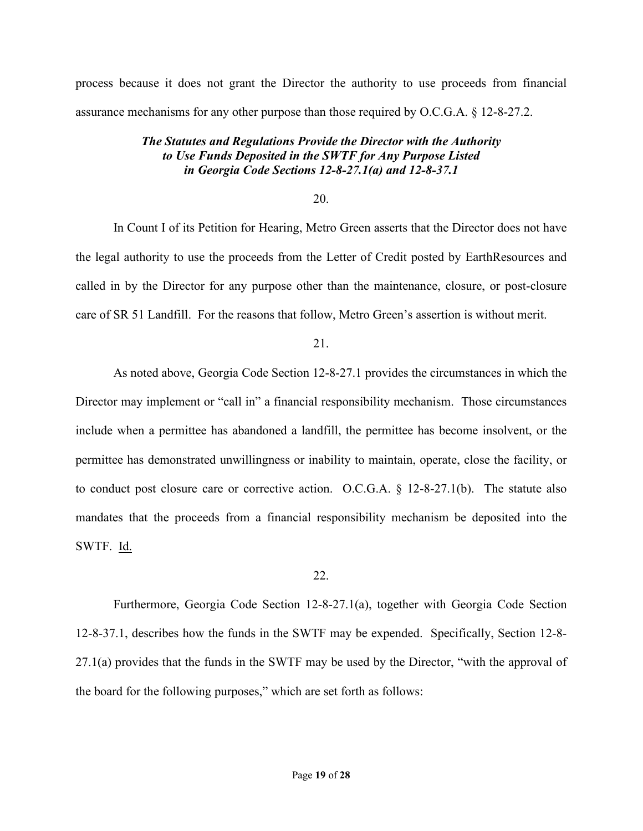process because it does not grant the Director the authority to use proceeds from financial assurance mechanisms for any other purpose than those required by O.C.G.A. § 12-8-27.2.

# *The Statutes and Regulations Provide the Director with the Authority to Use Funds Deposited in the SWTF for Any Purpose Listed in Georgia Code Sections 12-8-27.1(a) and 12-8-37.1*

### 20.

In Count I of its Petition for Hearing, Metro Green asserts that the Director does not have the legal authority to use the proceeds from the Letter of Credit posted by EarthResources and called in by the Director for any purpose other than the maintenance, closure, or post-closure care of SR 51 Landfill. For the reasons that follow, Metro Green's assertion is without merit.

## 21.

As noted above, Georgia Code Section 12-8-27.1 provides the circumstances in which the Director may implement or "call in" a financial responsibility mechanism. Those circumstances include when a permittee has abandoned a landfill, the permittee has become insolvent, or the permittee has demonstrated unwillingness or inability to maintain, operate, close the facility, or to conduct post closure care or corrective action. O.C.G.A. § 12-8-27.1(b). The statute also mandates that the proceeds from a financial responsibility mechanism be deposited into the SWTF. Id.

### 22.

Furthermore, Georgia Code Section 12-8-27.1(a), together with Georgia Code Section 12-8-37.1, describes how the funds in the SWTF may be expended. Specifically, Section 12-8- 27.1(a) provides that the funds in the SWTF may be used by the Director, "with the approval of the board for the following purposes," which are set forth as follows: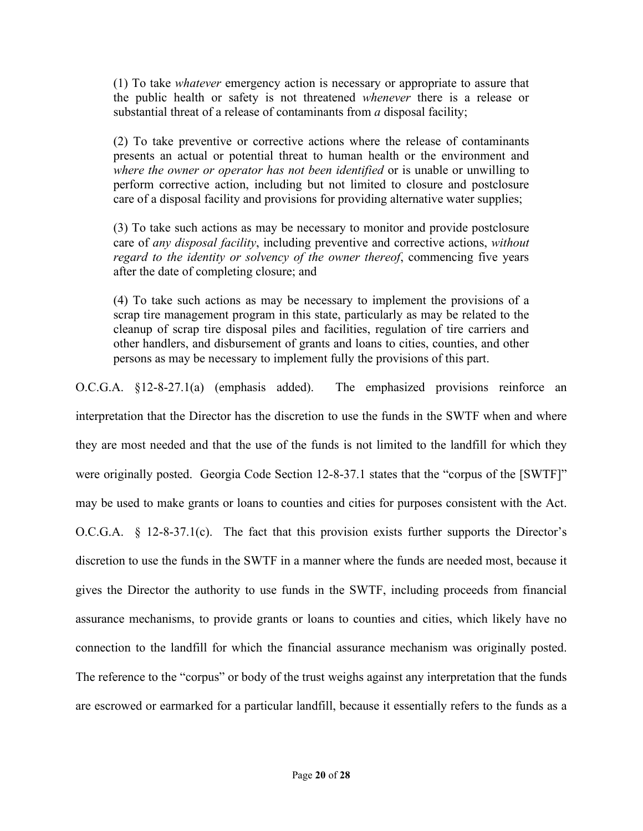(1) To take *whatever* emergency action is necessary or appropriate to assure that the public health or safety is not threatened *whenever* there is a release or substantial threat of a release of contaminants from *a* disposal facility;

(2) To take preventive or corrective actions where the release of contaminants presents an actual or potential threat to human health or the environment and *where the owner or operator has not been identified* or is unable or unwilling to perform corrective action, including but not limited to closure and postclosure care of a disposal facility and provisions for providing alternative water supplies;

(3) To take such actions as may be necessary to monitor and provide postclosure care of *any disposal facility*, including preventive and corrective actions, *without regard to the identity or solvency of the owner thereof*, commencing five years after the date of completing closure; and

(4) To take such actions as may be necessary to implement the provisions of a scrap tire management program in this state, particularly as may be related to the cleanup of scrap tire disposal piles and facilities, regulation of tire carriers and other handlers, and disbursement of grants and loans to cities, counties, and other persons as may be necessary to implement fully the provisions of this part.

O.C.G.A. §12-8-27.1(a) (emphasis added). The emphasized provisions reinforce an interpretation that the Director has the discretion to use the funds in the SWTF when and where they are most needed and that the use of the funds is not limited to the landfill for which they were originally posted. Georgia Code Section 12-8-37.1 states that the "corpus of the [SWTF]" may be used to make grants or loans to counties and cities for purposes consistent with the Act. O.C.G.A. § 12-8-37.1(c). The fact that this provision exists further supports the Director's discretion to use the funds in the SWTF in a manner where the funds are needed most, because it gives the Director the authority to use funds in the SWTF, including proceeds from financial assurance mechanisms, to provide grants or loans to counties and cities, which likely have no connection to the landfill for which the financial assurance mechanism was originally posted. The reference to the "corpus" or body of the trust weighs against any interpretation that the funds are escrowed or earmarked for a particular landfill, because it essentially refers to the funds as a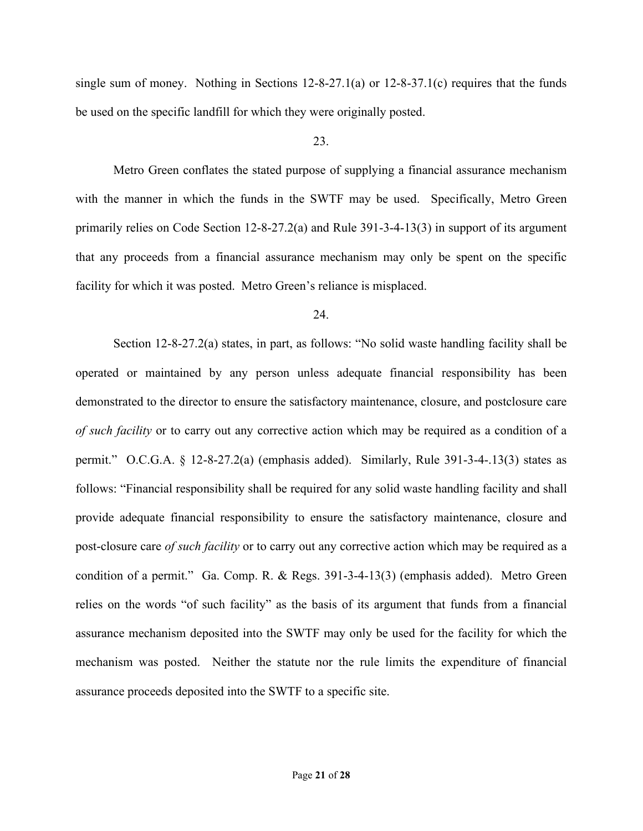single sum of money. Nothing in Sections 12-8-27.1(a) or 12-8-37.1(c) requires that the funds be used on the specific landfill for which they were originally posted.

# 23.

Metro Green conflates the stated purpose of supplying a financial assurance mechanism with the manner in which the funds in the SWTF may be used. Specifically, Metro Green primarily relies on Code Section 12-8-27.2(a) and Rule 391-3-4-13(3) in support of its argument that any proceeds from a financial assurance mechanism may only be spent on the specific facility for which it was posted. Metro Green's reliance is misplaced.

## 24.

Section 12-8-27.2(a) states, in part, as follows: "No solid waste handling facility shall be operated or maintained by any person unless adequate financial responsibility has been demonstrated to the director to ensure the satisfactory maintenance, closure, and postclosure care *of such facility* or to carry out any corrective action which may be required as a condition of a permit." O.C.G.A. § 12-8-27.2(a) (emphasis added). Similarly, Rule 391-3-4-.13(3) states as follows: "Financial responsibility shall be required for any solid waste handling facility and shall provide adequate financial responsibility to ensure the satisfactory maintenance, closure and post-closure care *of such facility* or to carry out any corrective action which may be required as a condition of a permit." Ga. Comp. R. & Regs. 391-3-4-13(3) (emphasis added). Metro Green relies on the words "of such facility" as the basis of its argument that funds from a financial assurance mechanism deposited into the SWTF may only be used for the facility for which the mechanism was posted. Neither the statute nor the rule limits the expenditure of financial assurance proceeds deposited into the SWTF to a specific site.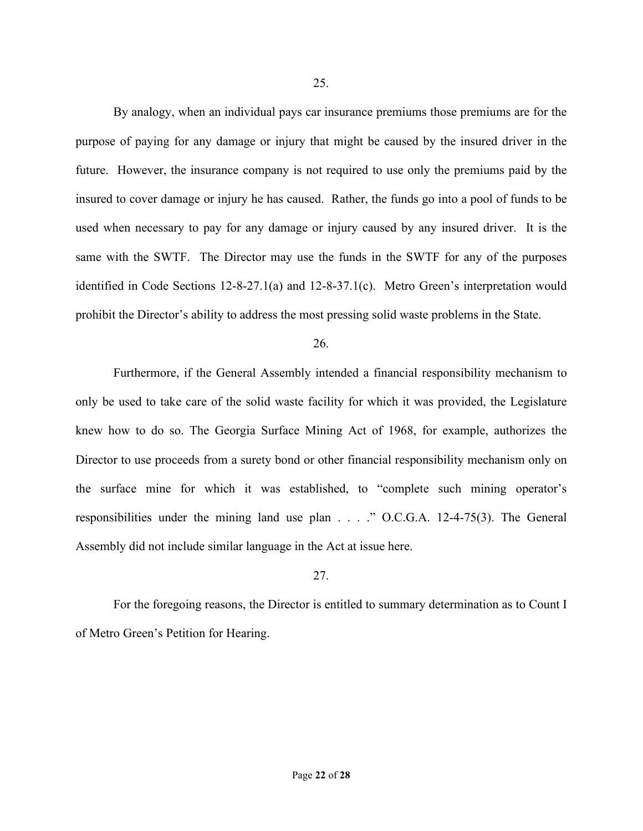By analogy, when an individual pays car insurance premiums those premiums are for the purpose of paying for any damage or injury that might be caused by the insured driver in the future. However, the insurance company is not required to use only the premiums paid by the insured to cover damage or injury he has caused. Rather, the funds go into a pool of funds to be used when necessary to pay for any damage or injury caused by any insured driver. It is the same with the SWTF. The Director may use the funds in the SWTF for any of the purposes identified in Code Sections 12-8-27.1(a) and 12-8-37.1(c). Metro Green's interpretation would prohibit the Director's ability to address the most pressing solid waste problems in the State.

26.

Furthermore, if the General Assembly intended a financial responsibility mechanism to only be used to take care of the solid waste facility for which it was provided, the Legislature knew how to do so. The Georgia Surface Mining Act of 1968, for example, authorizes the Director to use proceeds from a surety bond or other financial responsibility mechanism only on the surface mine for which it was established, to "complete such mining operator's responsibilities under the mining land use plan . . . ." O.C.G.A. 12-4-75(3). The General Assembly did not include similar language in the Act at issue here.

## 27.

For the foregoing reasons, the Director is entitled to summary determination as to Count I of Metro Green's Petition for Hearing.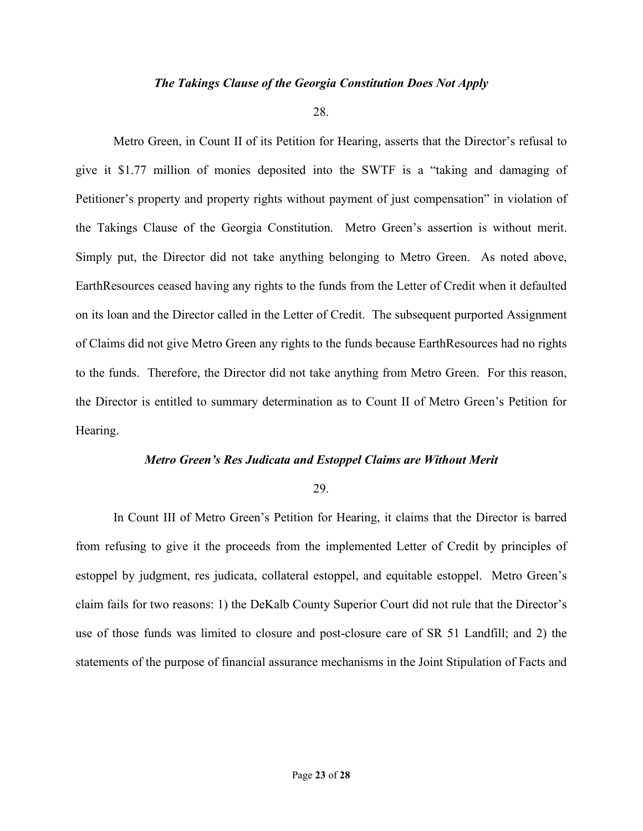## *The Takings Clause of the Georgia Constitution Does Not Apply*

28.

Metro Green, in Count II of its Petition for Hearing, asserts that the Director's refusal to give it \$1.77 million of monies deposited into the SWTF is a "taking and damaging of Petitioner's property and property rights without payment of just compensation" in violation of the Takings Clause of the Georgia Constitution. Metro Green's assertion is without merit. Simply put, the Director did not take anything belonging to Metro Green. As noted above, EarthResources ceased having any rights to the funds from the Letter of Credit when it defaulted on its loan and the Director called in the Letter of Credit. The subsequent purported Assignment of Claims did not give Metro Green any rights to the funds because EarthResources had no rights to the funds. Therefore, the Director did not take anything from Metro Green. For this reason, the Director is entitled to summary determination as to Count II of Metro Green's Petition for Hearing.

### *Metro Green's Res Judicata and Estoppel Claims are Without Merit*

### 29.

In Count III of Metro Green's Petition for Hearing, it claims that the Director is barred from refusing to give it the proceeds from the implemented Letter of Credit by principles of estoppel by judgment, res judicata, collateral estoppel, and equitable estoppel. Metro Green's claim fails for two reasons: 1) the DeKalb County Superior Court did not rule that the Director's use of those funds was limited to closure and post-closure care of SR 51 Landfill; and 2) the statements of the purpose of financial assurance mechanisms in the Joint Stipulation of Facts and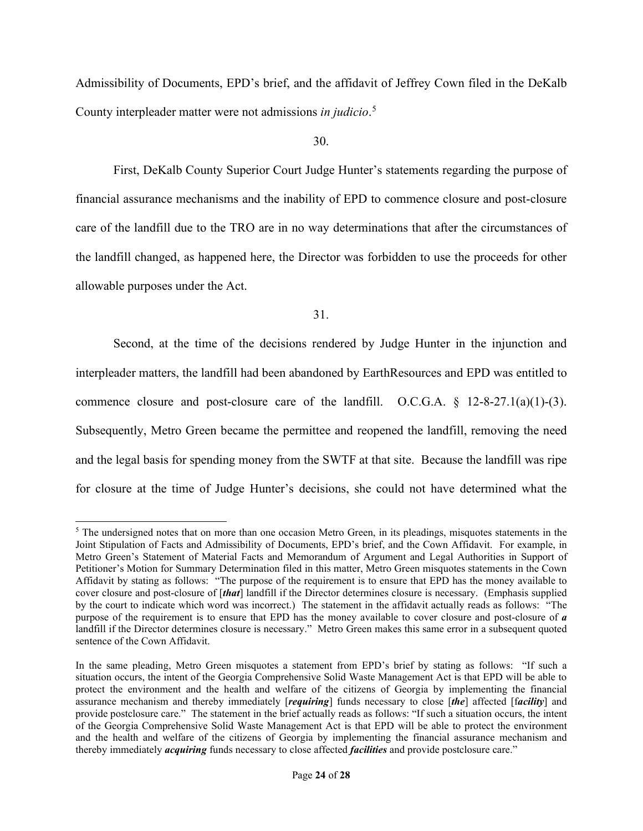Admissibility of Documents, EPD's brief, and the affidavit of Jeffrey Cown filed in the DeKalb County interpleader matter were not admissions *in judicio*. 5

30.

First, DeKalb County Superior Court Judge Hunter's statements regarding the purpose of financial assurance mechanisms and the inability of EPD to commence closure and post-closure care of the landfill due to the TRO are in no way determinations that after the circumstances of the landfill changed, as happened here, the Director was forbidden to use the proceeds for other allowable purposes under the Act.

31.

Second, at the time of the decisions rendered by Judge Hunter in the injunction and interpleader matters, the landfill had been abandoned by EarthResources and EPD was entitled to commence closure and post-closure care of the landfill. O.C.G.A.  $\S$  12-8-27.1(a)(1)-(3). Subsequently, Metro Green became the permittee and reopened the landfill, removing the need and the legal basis for spending money from the SWTF at that site. Because the landfill was ripe for closure at the time of Judge Hunter's decisions, she could not have determined what the

<sup>&</sup>lt;sup>5</sup> The undersigned notes that on more than one occasion Metro Green, in its pleadings, misquotes statements in the Joint Stipulation of Facts and Admissibility of Documents, EPD's brief, and the Cown Affidavit. For example, in Metro Green's Statement of Material Facts and Memorandum of Argument and Legal Authorities in Support of Petitioner's Motion for Summary Determination filed in this matter, Metro Green misquotes statements in the Cown Affidavit by stating as follows: "The purpose of the requirement is to ensure that EPD has the money available to cover closure and post-closure of [*that*] landfill if the Director determines closure is necessary. (Emphasis supplied by the court to indicate which word was incorrect.) The statement in the affidavit actually reads as follows: "The purpose of the requirement is to ensure that EPD has the money available to cover closure and post-closure of *a* landfill if the Director determines closure is necessary." Metro Green makes this same error in a subsequent quoted sentence of the Cown Affidavit.

In the same pleading, Metro Green misquotes a statement from EPD's brief by stating as follows: "If such a situation occurs, the intent of the Georgia Comprehensive Solid Waste Management Act is that EPD will be able to protect the environment and the health and welfare of the citizens of Georgia by implementing the financial assurance mechanism and thereby immediately [*requiring*] funds necessary to close [*the*] affected [f*acility*] and provide postclosure care." The statement in the brief actually reads as follows: "If such a situation occurs, the intent of the Georgia Comprehensive Solid Waste Management Act is that EPD will be able to protect the environment and the health and welfare of the citizens of Georgia by implementing the financial assurance mechanism and thereby immediately *acquiring* funds necessary to close affected *facilities* and provide postclosure care."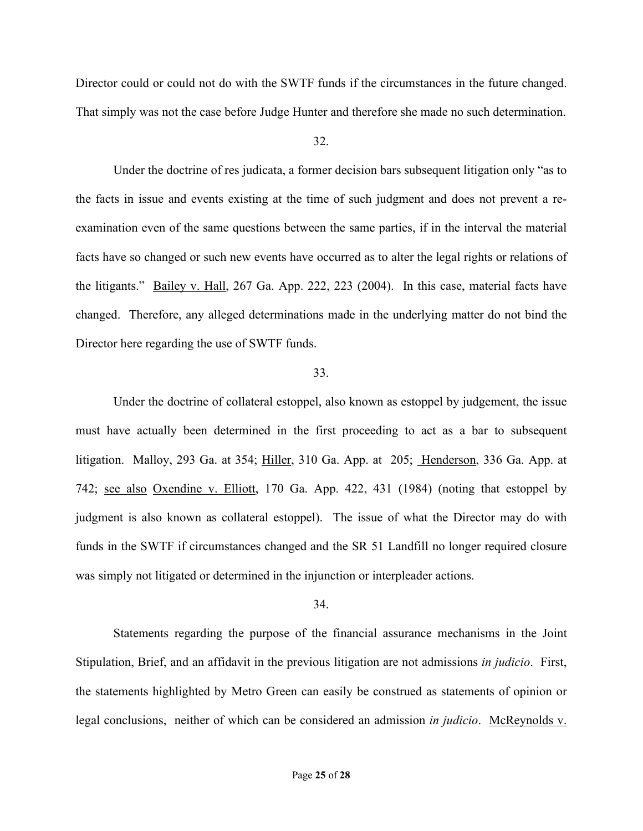Director could or could not do with the SWTF funds if the circumstances in the future changed. That simply was not the case before Judge Hunter and therefore she made no such determination.

### 32.

Under the doctrine of res judicata, a former decision bars subsequent litigation only "as to the facts in issue and events existing at the time of such judgment and does not prevent a reexamination even of the same questions between the same parties, if in the interval the material facts have so changed or such new events have occurred as to alter the legal rights or relations of the litigants." Bailey v. Hall, 267 Ga. App. 222, 223 (2004). In this case, material facts have changed. Therefore, any alleged determinations made in the underlying matter do not bind the Director here regarding the use of SWTF funds.

### 33.

Under the doctrine of collateral estoppel, also known as estoppel by judgement, the issue must have actually been determined in the first proceeding to act as a bar to subsequent litigation. Malloy, 293 Ga. at 354; Hiller, 310 Ga. App. at 205; Henderson, 336 Ga. App. at 742; see also Oxendine v. Elliott, 170 Ga. App. 422, 431 (1984) (noting that estoppel by judgment is also known as collateral estoppel). The issue of what the Director may do with funds in the SWTF if circumstances changed and the SR 51 Landfill no longer required closure was simply not litigated or determined in the injunction or interpleader actions.

#### 34.

Statements regarding the purpose of the financial assurance mechanisms in the Joint Stipulation, Brief, and an affidavit in the previous litigation are not admissions *in judicio*. First, the statements highlighted by Metro Green can easily be construed as statements of opinion or legal conclusions, neither of which can be considered an admission *in judicio*. McReynolds v.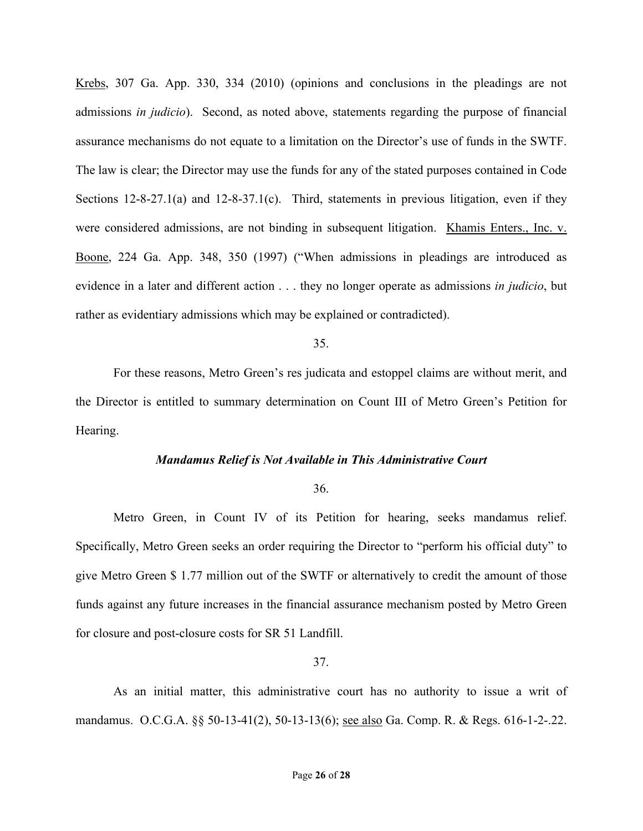Krebs, 307 Ga. App. 330, 334 (2010) (opinions and conclusions in the pleadings are not admissions *in judicio*). Second, as noted above, statements regarding the purpose of financial assurance mechanisms do not equate to a limitation on the Director's use of funds in the SWTF. The law is clear; the Director may use the funds for any of the stated purposes contained in Code Sections 12-8-27.1(a) and 12-8-37.1(c). Third, statements in previous litigation, even if they were considered admissions, are not binding in subsequent litigation. Khamis Enters., Inc. v. Boone, 224 Ga. App. 348, 350 (1997) ("When admissions in pleadings are introduced as evidence in a later and different action . . . they no longer operate as admissions *in judicio*, but rather as evidentiary admissions which may be explained or contradicted).

### 35.

For these reasons, Metro Green's res judicata and estoppel claims are without merit, and the Director is entitled to summary determination on Count III of Metro Green's Petition for Hearing.

#### *Mandamus Relief is Not Available in This Administrative Court*

### 36.

Metro Green, in Count IV of its Petition for hearing, seeks mandamus relief. Specifically, Metro Green seeks an order requiring the Director to "perform his official duty" to give Metro Green \$ 1.77 million out of the SWTF or alternatively to credit the amount of those funds against any future increases in the financial assurance mechanism posted by Metro Green for closure and post-closure costs for SR 51 Landfill.

#### 37.

As an initial matter, this administrative court has no authority to issue a writ of mandamus. O.C.G.A. §§ 50-13-41(2), 50-13-13(6); see also Ga. Comp. R. & Regs. 616-1-2-.22.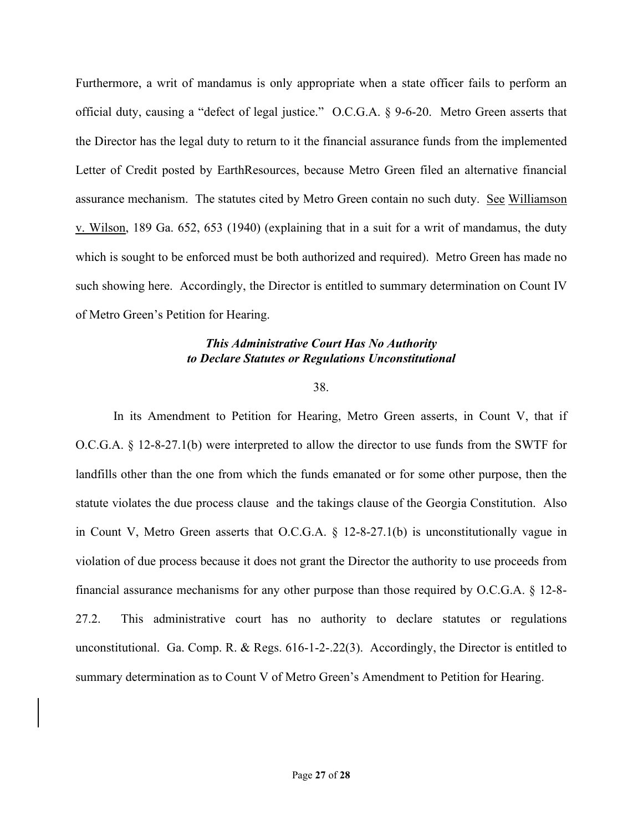Furthermore, a writ of mandamus is only appropriate when a state officer fails to perform an official duty, causing a "defect of legal justice." O.C.G.A. § 9-6-20. Metro Green asserts that the Director has the legal duty to return to it the financial assurance funds from the implemented Letter of Credit posted by EarthResources, because Metro Green filed an alternative financial assurance mechanism. The statutes cited by Metro Green contain no such duty. See Williamson v. Wilson, 189 Ga. 652, 653 (1940) (explaining that in a suit for a writ of mandamus, the duty which is sought to be enforced must be both authorized and required). Metro Green has made no such showing here. Accordingly, the Director is entitled to summary determination on Count IV of Metro Green's Petition for Hearing.

# *This Administrative Court Has No Authority to Declare Statutes or Regulations Unconstitutional*

38.

In its Amendment to Petition for Hearing, Metro Green asserts, in Count V, that if O.C.G.A. § 12-8-27.1(b) were interpreted to allow the director to use funds from the SWTF for landfills other than the one from which the funds emanated or for some other purpose, then the statute violates the due process clause and the takings clause of the Georgia Constitution. Also in Count V, Metro Green asserts that O.C.G.A. § 12-8-27.1(b) is unconstitutionally vague in violation of due process because it does not grant the Director the authority to use proceeds from financial assurance mechanisms for any other purpose than those required by O.C.G.A. § 12-8- 27.2. This administrative court has no authority to declare statutes or regulations unconstitutional. Ga. Comp. R. & Regs. 616-1-2-.22(3). Accordingly, the Director is entitled to summary determination as to Count V of Metro Green's Amendment to Petition for Hearing.